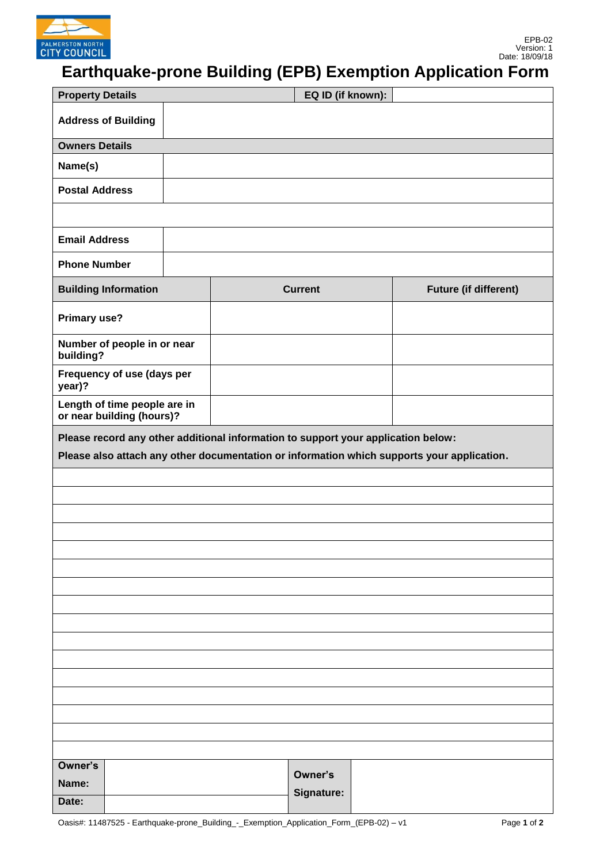

## **Earthquake-prone Building (EPB) Exemption Application Form**

| <b>Property Details</b>                                                                    |  |                |            | EQ ID (if known):            |  |  |  |
|--------------------------------------------------------------------------------------------|--|----------------|------------|------------------------------|--|--|--|
| <b>Address of Building</b>                                                                 |  |                |            |                              |  |  |  |
| <b>Owners Details</b>                                                                      |  |                |            |                              |  |  |  |
| Name(s)                                                                                    |  |                |            |                              |  |  |  |
| <b>Postal Address</b>                                                                      |  |                |            |                              |  |  |  |
|                                                                                            |  |                |            |                              |  |  |  |
| <b>Email Address</b>                                                                       |  |                |            |                              |  |  |  |
| <b>Phone Number</b>                                                                        |  |                |            |                              |  |  |  |
| <b>Building Information</b>                                                                |  | <b>Current</b> |            | <b>Future (if different)</b> |  |  |  |
| <b>Primary use?</b>                                                                        |  |                |            |                              |  |  |  |
| Number of people in or near<br>building?                                                   |  |                |            |                              |  |  |  |
| Frequency of use (days per<br>year)?                                                       |  |                |            |                              |  |  |  |
| Length of time people are in<br>or near building (hours)?                                  |  |                |            |                              |  |  |  |
| Please record any other additional information to support your application below:          |  |                |            |                              |  |  |  |
| Please also attach any other documentation or information which supports your application. |  |                |            |                              |  |  |  |
|                                                                                            |  |                |            |                              |  |  |  |
|                                                                                            |  |                |            |                              |  |  |  |
|                                                                                            |  |                |            |                              |  |  |  |
|                                                                                            |  |                |            |                              |  |  |  |
|                                                                                            |  |                |            |                              |  |  |  |
|                                                                                            |  |                |            |                              |  |  |  |
|                                                                                            |  |                |            |                              |  |  |  |
|                                                                                            |  |                |            |                              |  |  |  |
|                                                                                            |  |                |            |                              |  |  |  |
|                                                                                            |  |                |            |                              |  |  |  |
|                                                                                            |  |                |            |                              |  |  |  |
|                                                                                            |  |                |            |                              |  |  |  |
|                                                                                            |  |                |            |                              |  |  |  |
|                                                                                            |  |                |            |                              |  |  |  |
|                                                                                            |  |                |            |                              |  |  |  |
| Owner's                                                                                    |  |                |            |                              |  |  |  |
| Name:                                                                                      |  |                |            | Owner's                      |  |  |  |
| Date:                                                                                      |  |                | Signature: |                              |  |  |  |